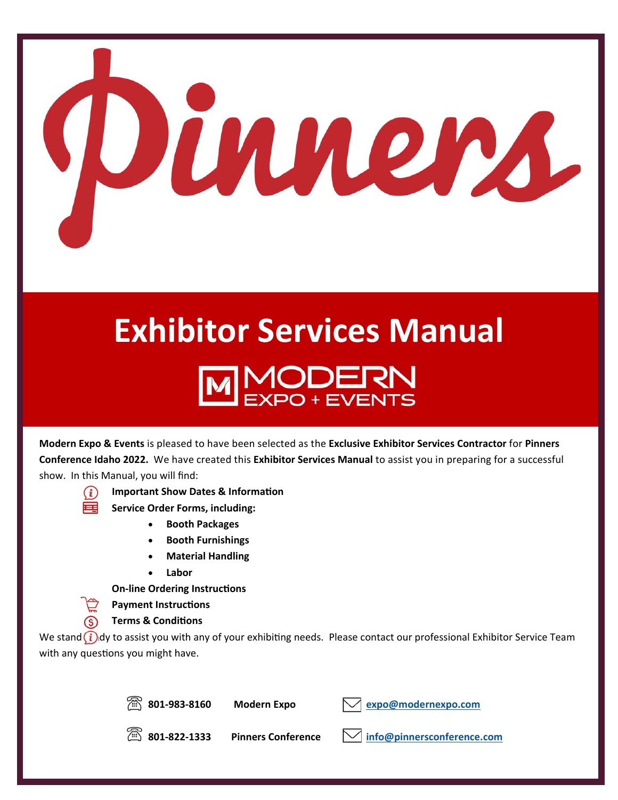

# **Exhibitor Services Manual**  MODERN<br>EXPO+EVENTS

**Modern Expo & Events** is pleased to have been selected as the **Exclusive Exhibitor Services Contractor** for **Pinners Conference Idaho 2022.** We have created this **Exhibitor Services Manual** to assist you in preparing for a successful show. In this Manual, you will find:



- **Important Show Dates & Information**
- **EURICA** Service Order Forms, including:
	- **Booth Packages**
	- **Booth Furnishings**
	- **Material Handling**
	- **Labor**

**On-line Ordering Instructions** 

**Payment Instructions** 

 **Terms & CondiƟons** 

We stand  $(i)$ dy to assist you with any of your exhibiting needs. Please contact our professional Exhibitor Service Team with any questions you might have.



**801‐983‐8160 Modern Expo expo@modernexpo.com**

**801‐822‐1333 Pinners Conference info@pinnersconference.com**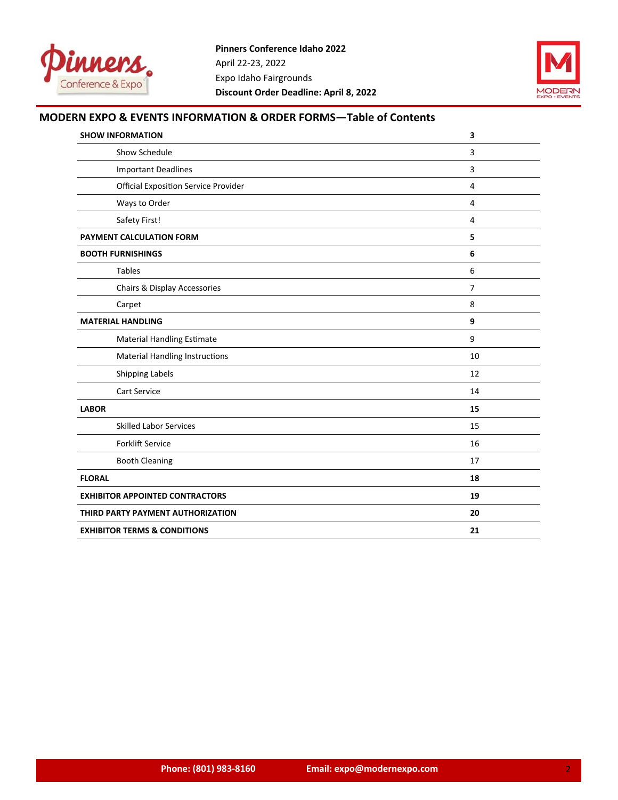



## **MODERN EXPO & EVENTS INFORMATION & ORDER FORMS—Table of Contents**

| <b>SHOW INFORMATION</b>                     | 3              |
|---------------------------------------------|----------------|
| Show Schedule                               | 3              |
| <b>Important Deadlines</b>                  | 3              |
| <b>Official Exposition Service Provider</b> | 4              |
| Ways to Order                               | 4              |
| Safety First!                               | 4              |
| PAYMENT CALCULATION FORM                    | 5              |
| <b>BOOTH FURNISHINGS</b>                    | 6              |
| <b>Tables</b>                               | 6              |
| Chairs & Display Accessories                | $\overline{7}$ |
| Carpet                                      | 8              |
| <b>MATERIAL HANDLING</b>                    | 9              |
| <b>Material Handling Estimate</b>           | 9              |
| <b>Material Handling Instructions</b>       | 10             |
| <b>Shipping Labels</b>                      | 12             |
| <b>Cart Service</b>                         | 14             |
| <b>LABOR</b>                                | 15             |
| <b>Skilled Labor Services</b>               | 15             |
| <b>Forklift Service</b>                     | 16             |
| <b>Booth Cleaning</b>                       | 17             |
| <b>FLORAL</b>                               | 18             |
| <b>EXHIBITOR APPOINTED CONTRACTORS</b>      | 19             |
| THIRD PARTY PAYMENT AUTHORIZATION           | 20             |
| <b>EXHIBITOR TERMS &amp; CONDITIONS</b>     | 21             |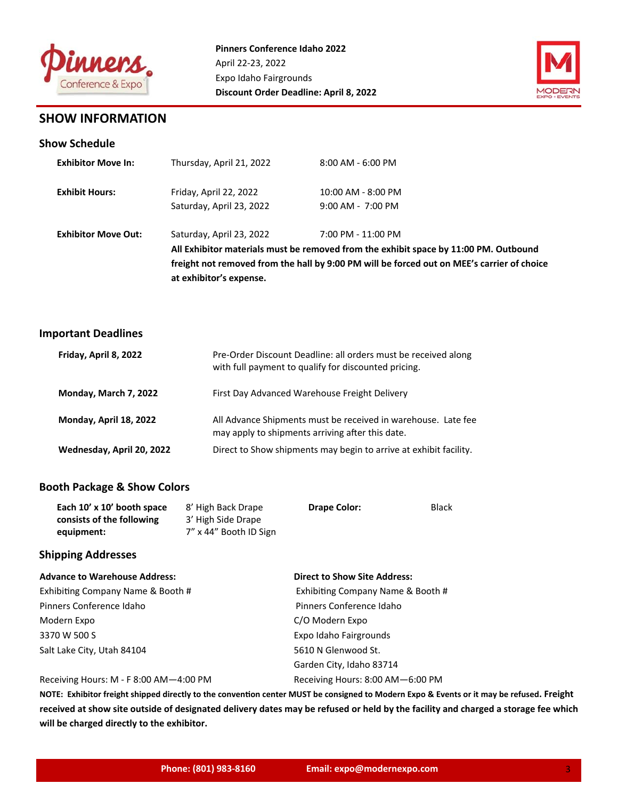



## **SHOW INFORMATION**

## **Show Schedule**

| <b>Exhibitor Move In:</b>  | Thursday, April 21, 2022 | $8:00$ AM - 6:00 PM                                                                        |
|----------------------------|--------------------------|--------------------------------------------------------------------------------------------|
| <b>Exhibit Hours:</b>      | Friday, April 22, 2022   | $10:00$ AM - $8:00$ PM                                                                     |
|                            | Saturday, April 23, 2022 | $9:00$ AM - 7:00 PM                                                                        |
| <b>Exhibitor Move Out:</b> | Saturday, April 23, 2022 | 7:00 PM - 11:00 PM                                                                         |
|                            |                          | All Exhibitor materials must be removed from the exhibit space by 11:00 PM. Outbound       |
|                            |                          | freight not removed from the hall by 9:00 PM will be forced out on MEE's carrier of choice |
|                            | at exhibitor's expense.  |                                                                                            |

## **Important Deadlines**

| Friday, April 8, 2022     | Pre-Order Discount Deadline: all orders must be received along<br>with full payment to qualify for discounted pricing. |
|---------------------------|------------------------------------------------------------------------------------------------------------------------|
| Monday, March 7, 2022     | First Day Advanced Warehouse Freight Delivery                                                                          |
| Monday, April 18, 2022    | All Advance Shipments must be received in warehouse. Late fee<br>may apply to shipments arriving after this date.      |
| Wednesday, April 20, 2022 | Direct to Show shipments may begin to arrive at exhibit facility.                                                      |

## **Booth Package & Show Colors**

| Each 10' x 10' booth space | 8' High Back Drape     | <b>Drape Color:</b> | <b>Black</b> |
|----------------------------|------------------------|---------------------|--------------|
| consists of the following  | 3' High Side Drape     |                     |              |
| equipment:                 | 7" x 44" Booth ID Sign |                     |              |

## **Shipping Addresses**

| <b>Advance to Warehouse Address:</b>   | <b>Direct to Show Site Address:</b> |
|----------------------------------------|-------------------------------------|
| Exhibiting Company Name & Booth #      | Exhibiting Company Name & Booth #   |
| Pinners Conference Idaho               | Pinners Conference Idaho            |
| Modern Expo                            | C/O Modern Expo                     |
| 3370 W 500 S                           | Expo Idaho Fairgrounds              |
| Salt Lake City, Utah 84104             | 5610 N Glenwood St.                 |
|                                        | Garden City, Idaho 83714            |
| Receiving Hours: M - F 8:00 AM-4:00 PM | Receiving Hours: 8:00 AM-6:00 PM    |

NOTE: Exhibitor freight shipped directly to the convention center MUST be consigned to Modern Expo & Events or it may be refused. Freight **received at show site outside of designated delivery dates may be refused or held by the facility and charged a storage fee which will be charged directly to the exhibitor.**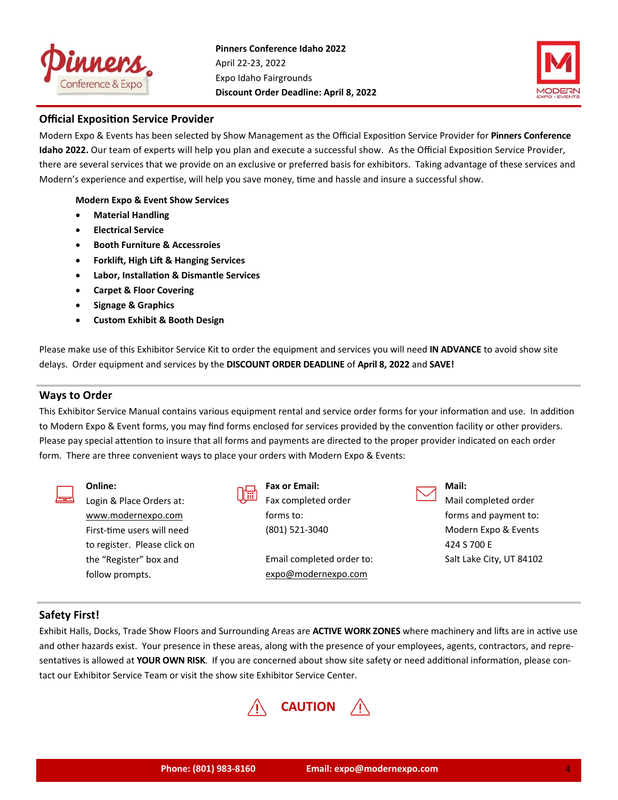



## **Official Exposition Service Provider**

Modern Expo & Events has been selected by Show Management as the Official Exposition Service Provider for **Pinners Conference Idaho 2022.** Our team of experts will help you plan and execute a successful show. As the Official Exposition Service Provider, there are several services that we provide on an exclusive or preferred basis for exhibitors. Taking advantage of these services and Modern's experience and expertise, will help you save money, time and hassle and insure a successful show.

**Modern Expo & Event Show Services** 

- **Material Handling**
- **Electrical Service**
- **Booth Furniture & Accessroies**
- **Forklift, High Lift & Hanging Services**
- **Labor, InstallaƟon & Dismantle Services**
- **Carpet & Floor Covering**
- **Signage & Graphics**
- **Custom Exhibit & Booth Design**

Please make use of this Exhibitor Service Kit to order the equipment and services you will need **IN ADVANCE** to avoid show site delays. Order equipment and services by the **DISCOUNT ORDER DEADLINE** of **April 8, 2022** and **SAVE!**

## **Ways to Order**

This Exhibitor Service Manual contains various equipment rental and service order forms for your information and use. In addition to Modern Expo & Event forms, you may find forms enclosed for services provided by the convention facility or other providers. Please pay special attention to insure that all forms and payments are directed to the proper provider indicated on each order form. There are three convenient ways to place your orders with Modern Expo & Events:

|   | Online:                      |   | Fax or Email:             | Mail:                    |
|---|------------------------------|---|---------------------------|--------------------------|
| ▅ | Login & Place Orders at:     | 扁 | Fax completed order       | Mail completed order     |
|   | www.modernexpo.com           |   | forms to:                 | forms and payment to:    |
|   | First-time users will need   |   | (801) 521-3040            | Modern Expo & Events     |
|   | to register. Please click on |   |                           | 424 S 700 E              |
|   | the "Register" box and       |   | Email completed order to: | Salt Lake City, UT 8410. |
|   | follow prompts.              |   | expo@modernexpo.com       |                          |

## **Safety First!**

Exhibit Halls, Docks, Trade Show Floors and Surrounding Areas are **ACTIVE WORK ZONES** where machinery and lifts are in active use and other hazards exist. Your presence in these areas, along with the presence of your employees, agents, contractors, and repre‐ sentatives is allowed at YOUR OWN RISK. If you are concerned about show site safety or need additional information, please contact our Exhibitor Service Team or visit the show site Exhibitor Service Center.



84102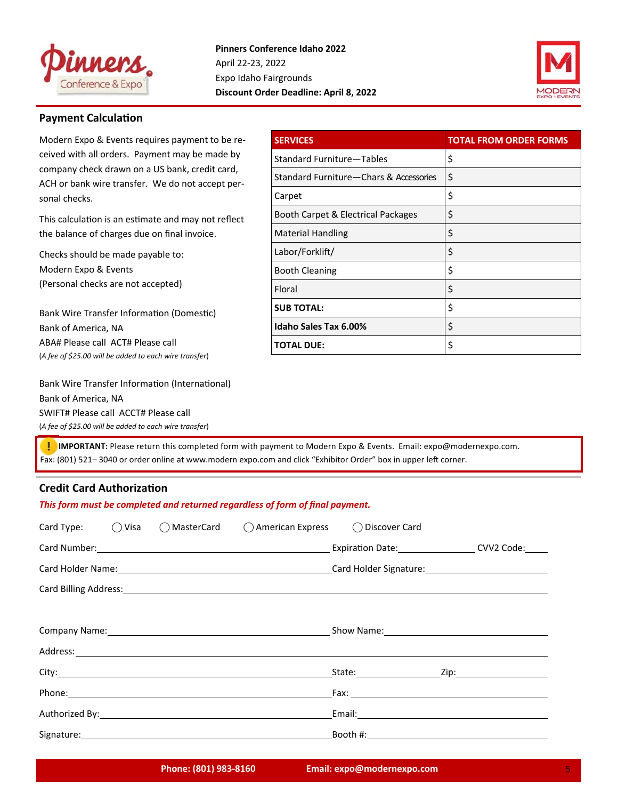



## **Payment Calculation**

Modern Expo & Events requires payment to be re‐ ceived with all orders. Payment may be made by company check drawn on a US bank, credit card, ACH or bank wire transfer. We do not accept per‐ sonal checks.

This calculation is an estimate and may not reflect the balance of charges due on final invoice.

Checks should be made payable to: Modern Expo & Events

(Personal checks are not accepted)

Bank Wire Transfer Information (Domestic) Bank of America, NA ABA# Please call ACT# Please call (*A fee of \$25.00 will be added to each wire transfer*)

Bank Wire Transfer Information (International) Bank of America, NA SWIFT# Please call ACCT# Please call (*A fee of \$25.00 will be added to each wire transfer*)

| <b>SERVICES</b>                          | <b>TOTAL FROM ORDER FORMS</b> |
|------------------------------------------|-------------------------------|
| Standard Furniture-Tables                | \$                            |
| Standard Furniture - Chars & Accessories | \$                            |
| Carpet                                   | \$                            |
| Booth Carpet & Electrical Packages       | \$                            |
| <b>Material Handling</b>                 | \$                            |
| Labor/Forklift/                          | \$                            |
| <b>Booth Cleaning</b>                    | \$                            |
| Floral                                   | \$                            |
| <b>SUB TOTAL:</b>                        | \$                            |
| Idaho Sales Tax 6.00%                    | \$                            |
| <b>TOTAL DUE:</b>                        | \$                            |

 **IMPORTANT:** Please return this completed form with payment to Modern Expo & Events. Email: expo@modernexpo.com. Fax: (801) 521-3040 or order online at www.modern expo.com and click "Exhibitor Order" box in upper left corner.

## **Credit Card AuthorizaƟon**

| This form must be completed and returned regardless of form of final payment. |  |  |                                                                                                                          |                                                                                                                |                                                                                                                                                                                                                                |  |
|-------------------------------------------------------------------------------|--|--|--------------------------------------------------------------------------------------------------------------------------|----------------------------------------------------------------------------------------------------------------|--------------------------------------------------------------------------------------------------------------------------------------------------------------------------------------------------------------------------------|--|
|                                                                               |  |  | Card Type: (2005) Card Type: (2015) Card Type: (2015) Card Type: (2015) Card COMasterCard (2016) American Express (2015) |                                                                                                                |                                                                                                                                                                                                                                |  |
|                                                                               |  |  |                                                                                                                          |                                                                                                                | Card Number: Carl Number: COVID Code: Carl Number: CVV2 Code: CVV2 Code:                                                                                                                                                       |  |
|                                                                               |  |  |                                                                                                                          |                                                                                                                | Card Holder Name: 1990 Card Holder Signature: 1990 Card Holder Signature: 1990 Card Holder Signature: 1990 Card Holder Signature: 1990 Card Holder Signature: 1990 Card Holder Signature: 1990 Card Holder Signature: 1990 Car |  |
|                                                                               |  |  |                                                                                                                          | Card Billing Address: No. 2014 19:30 19:30 19:30 19:30 19:30 19:30 19:30 19:30 19:30 19:30 19:30 19:30 19:30 1 |                                                                                                                                                                                                                                |  |
|                                                                               |  |  |                                                                                                                          |                                                                                                                |                                                                                                                                                                                                                                |  |
|                                                                               |  |  |                                                                                                                          |                                                                                                                | Company Name: 1990 Manual Company Name: 2008 Manual Company Name: 2008 Manual Company Name: 2008 Manual Company Manual Company Manual Company Manual Company of the Company of the Company of the Company of the Company of th |  |
|                                                                               |  |  |                                                                                                                          |                                                                                                                |                                                                                                                                                                                                                                |  |
|                                                                               |  |  |                                                                                                                          |                                                                                                                |                                                                                                                                                                                                                                |  |
|                                                                               |  |  |                                                                                                                          |                                                                                                                |                                                                                                                                                                                                                                |  |
|                                                                               |  |  |                                                                                                                          |                                                                                                                |                                                                                                                                                                                                                                |  |
|                                                                               |  |  |                                                                                                                          |                                                                                                                |                                                                                                                                                                                                                                |  |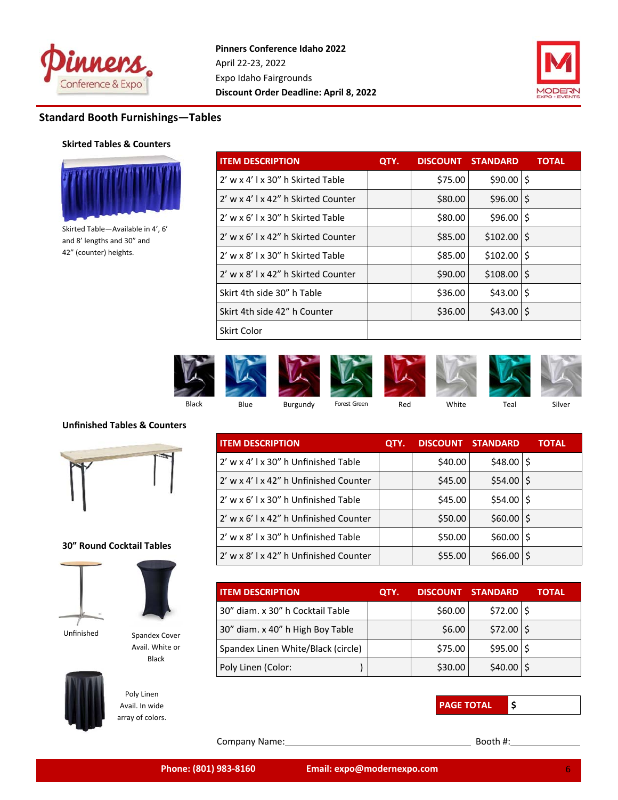



# **Standard Booth Furnishings—Tables**

## **Skirted Tables & Counters**



Skirted Table—Available in 4', 6' and 8' lengths and 30" and 42" (counter) heights.

| <b>ITEM DESCRIPTION</b>             | QTY. |         | <b>DISCOUNT STANDARD</b> | <b>TOTAL</b> |
|-------------------------------------|------|---------|--------------------------|--------------|
| 2' w x 4' l x 30" h Skirted Table   |      | \$75.00 | $$90.00$   \$            |              |
| 2' w x 4' l x 42" h Skirted Counter |      | \$80.00 | $$96.00$ $$$             |              |
| 2' w x 6' l x 30" h Skirted Table   |      | \$80.00 | $$96.00$ $$$             |              |
| 2' w x 6' Lx 42" h Skirted Counter  |      | \$85.00 | $$102.00$ S              |              |
| 2' w x 8' l x 30" h Skirted Table   |      | \$85.00 | $$102.00$   \$           |              |
| 2' w x 8'   x 42" h Skirted Counter |      | \$90.00 | $$108.00$ S              |              |
| Skirt 4th side 30" h Table          |      | \$36.00 | $$43.00$ S               |              |
| Skirt 4th side 42" h Counter        |      | \$36.00 | $$43.00$   \$            |              |
| Skirt Color                         |      |         |                          |              |



## **Unfinished Tables & Counters**



## **30" Round Cocktail Tables**





Avail. White or Black

Unfinished Spandex Cover



Poly Linen Avail. In wide array of colors.

| <b>ITEM DESCRIPTION</b>                | QTY. |         | <b>DISCOUNT STANDARD</b> | <b>TOTAL</b> |
|----------------------------------------|------|---------|--------------------------|--------------|
| 2' w x 4' l x 30" h Unfinished Table   |      | \$40.00 | $$48.00$   \$            |              |
| 2' w x 4' l x 42" h Unfinished Counter |      | \$45.00 | $$54.00$ $$$             |              |
| 2' w x 6' l x 30" h Unfinished Table   |      | \$45.00 | $$54.00$   \$            |              |
| 2' w x 6' l x 42" h Unfinished Counter |      | \$50.00 | $$60.00$   \$            |              |
| 2' w x 8' l x 30" h Unfinished Table   |      | \$50.00 | $$60.00$   \$            |              |
| 2' w x 8' l x 42" h Unfinished Counter |      | \$55.00 | $$66.00$ $$$             |              |

| <b>ITEM DESCRIPTION</b>            | QTY. | DISCOUNT STANDARD |              | TOTAL |
|------------------------------------|------|-------------------|--------------|-------|
| 30" diam. x 30" h Cocktail Table   |      | \$60.00           | $$72.00$ $$$ |       |
| 30" diam. x 40" h High Boy Table   |      | \$6.00            | $$72.00$ $$$ |       |
| Spandex Linen White/Black (circle) |      | \$75.00           | $$95.00$ $$$ |       |
| Poly Linen (Color:                 |      | \$30.00           | \$40.00      |       |



Company Name: Booth #: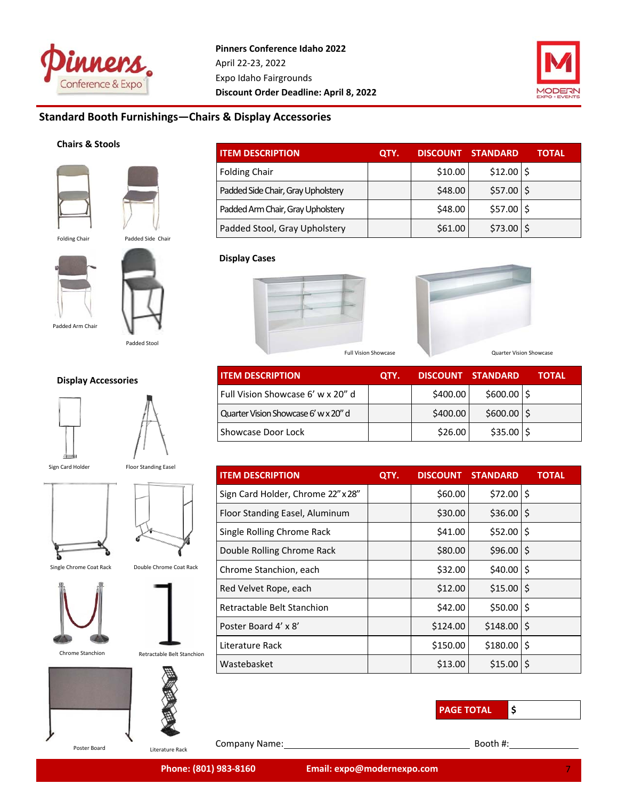



## **Standard Booth Furnishings—Chairs & Display Accessories**

## **Chairs & Stools**



| <b>ITEM DESCRIPTION</b>            | OTY. | <b>DISCOUNT</b> | <b>STANDARD</b> | TOTAL |
|------------------------------------|------|-----------------|-----------------|-------|
| <b>Folding Chair</b>               |      | \$10.00         | $$12.00$ $$$    |       |
| Padded Side Chair, Gray Upholstery |      | \$48.00         | $$57.00$ $$$    |       |
| Padded Arm Chair, Gray Upholstery  |      | \$48.00         | $$57.00$ $$$    |       |
| Padded Stool, Gray Upholstery      |      | \$61.00         | $$73.00$ S      |       |





Padded Stool

## **Display Accessories**





Sign Card Holder

Floor Standing Easel









Chrome Stanchion Retractable Belt Stanchion





Company Name: Booth #:

**Display Cases** 





**ITEM DESCRIPTION QTY. DISCOUNT STANDARD TOTAL**  Full Vision Showcase 6' w x 20" d  $\left| \right|$  \$400.00  $\left| \right|$  \$600.00  $\left| \right|$ \$600.00  $\left| \right|$ \$ Quarter Vision Showcase 6' w x 20" d  $\left| \right|$  \$400.00  $\left|$  \$600.00  $\right|$  \$ Showcase Door Lock  $\vert$   $\vert$   $\vert$  \$26.00  $\vert$  \$35.00  $\vert$  \$

| <b>ITEM DESCRIPTION</b>            | QTY. | <b>DISCOUNT</b> | <b>STANDARD</b> | <b>TOTAL</b> |
|------------------------------------|------|-----------------|-----------------|--------------|
| Sign Card Holder, Chrome 22" x 28" |      | \$60.00         | $$72.00$ $$$    |              |
| Floor Standing Easel, Aluminum     |      | \$30.00         | $$36.00$ $$$    |              |
| Single Rolling Chrome Rack         |      | \$41.00         | \$52.00         | \$           |
| Double Rolling Chrome Rack         |      | \$80.00         | \$96.00         | ۱\$          |
| Chrome Stanchion, each             |      | \$32.00         | $$40.00$   \$   |              |
| Red Velvet Rope, each              |      | \$12.00         | $$15.00$ $$$    |              |
| Retractable Belt Stanchion         |      | \$42.00         | $$50.00$   \$   |              |
| Poster Board 4' x 8'               |      | \$124.00        | \$148.00        | ۱\$          |
| Literature Rack                    |      | \$150.00        | \$180.00        | \$           |
| Wastebasket                        |      | \$13.00         | \$15.00         | \$           |

**PAGE TOTAL \$** 

**7777X277**  7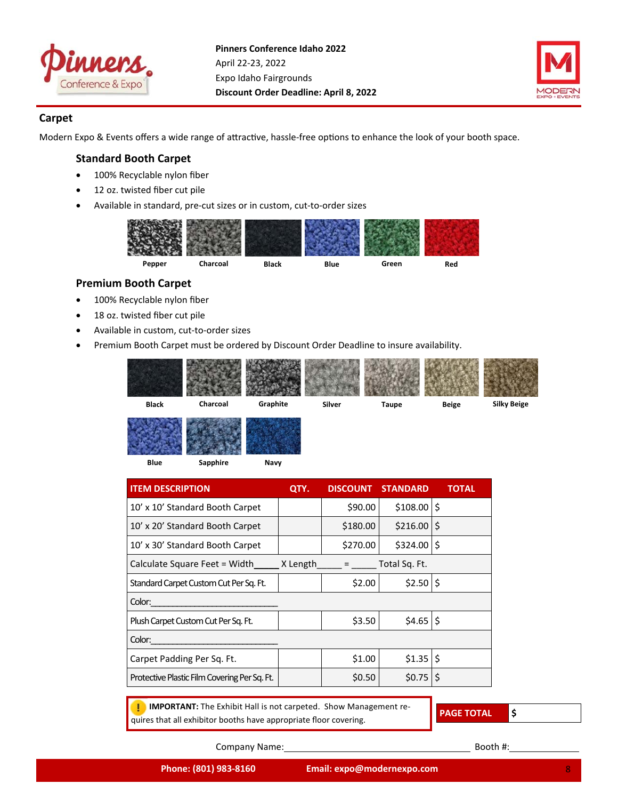



## **Carpet**

Modern Expo & Events offers a wide range of attractive, hassle-free options to enhance the look of your booth space.

## **Standard Booth Carpet**

- 100% Recyclable nylon fiber
- 12 oz. twisted fiber cut pile
- Available in standard, pre-cut sizes or in custom, cut-to-order sizes



## **Premium Booth Carpet**

- 100% Recyclable nylon fiber
- 18 oz. twisted fiber cut pile
- Available in custom, cut-to-order sizes
- Premium Booth Carpet must be ordered by Discount Order Deadline to insure availability.



**Blue Sapphire Navy** 

| <b>ITEM DESCRIPTION</b>                      | QTY. | <b>DISCOUNT</b>                         | <b>STANDARD</b> | TOTAL |
|----------------------------------------------|------|-----------------------------------------|-----------------|-------|
| 10' x 10' Standard Booth Carpet              |      | \$90.00                                 | $$108.00$ $$$   |       |
| 10' x 20' Standard Booth Carpet              |      | \$180.00                                | \$216.00        | I\$   |
| 10' x 30' Standard Booth Carpet              |      | \$270.00                                | $$324.00$ $$$   |       |
| Calculate Square Feet = Width $X$ Length     |      | $\mathcal{L} = \mathcal{L} \mathcal{L}$ | Total Sq. Ft.   |       |
| Standard Carpet Custom Cut Per Sg. Ft.       |      | \$2.00                                  | $$2.50$ \$      |       |
| Color:                                       |      |                                         |                 |       |
| Plush Carpet Custom Cut Per Sg. Ft.          |      | \$3.50                                  | $$4.65$ $$$     |       |
| Color:                                       |      |                                         |                 |       |
| Carpet Padding Per Sq. Ft.                   |      | \$1.00                                  | $$1.35$ \$      |       |
| Protective Plastic Film Covering Per Sq. Ft. |      | \$0.50                                  | \$0.75          | 1\$   |
|                                              |      |                                         |                 |       |

**IMPORTANT:** The Exhibit Hall is not carpeted. Show Management requires that all exhibitor booths have appropriate floor covering.

**PAGE TOTAL \$**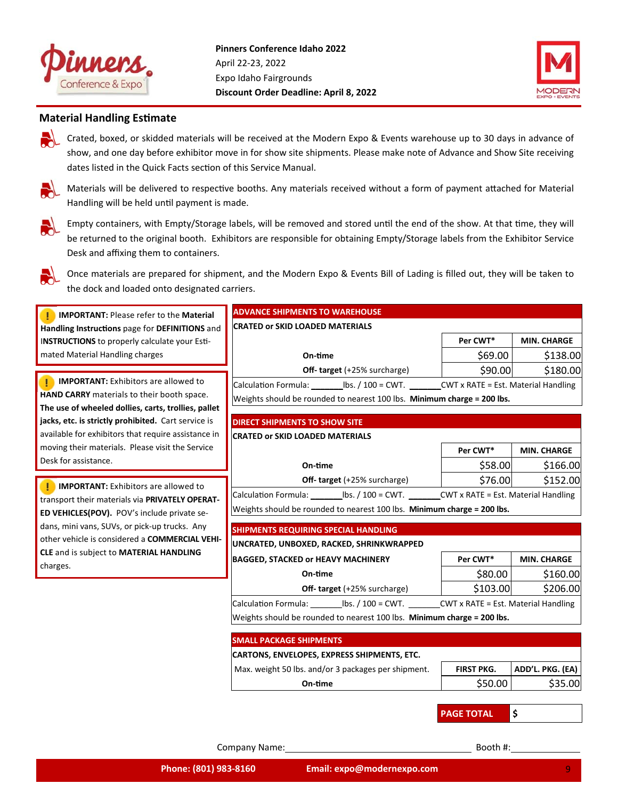



## **Material Handling Estimate**

Crated, boxed, or skidded materials will be received at the Modern Expo & Events warehouse up to 30 days in advance of show, and one day before exhibitor move in for show site shipments. Please make note of Advance and Show Site receiving dates listed in the Quick Facts section of this Service Manual.

Materials will be delivered to respective booths. Any materials received without a form of payment attached for Material Handling will be held until payment is made.



Empty containers, with Empty/Storage labels, will be removed and stored until the end of the show. At that time, they will be returned to the original booth. Exhibitors are responsible for obtaining Empty/Storage labels from the Exhibitor Service Desk and affixing them to containers.



Once materials are prepared for shipment, and the Modern Expo & Events Bill of Lading is filled out, they will be taken to the dock and loaded onto designated carriers.

| <b>IMPORTANT: Please refer to the Material</b><br>Handling Instructions page for DEFINITIONS and<br>INSTRUCTIONS to properly calculate your Esti-<br>mated Material Handling charges | <b>CRATED or SKID LOADED MATERIALS</b>                                                             | Per CWT*          |                    |  |  |  |
|--------------------------------------------------------------------------------------------------------------------------------------------------------------------------------------|----------------------------------------------------------------------------------------------------|-------------------|--------------------|--|--|--|
|                                                                                                                                                                                      |                                                                                                    |                   |                    |  |  |  |
|                                                                                                                                                                                      |                                                                                                    |                   | <b>MIN. CHARGE</b> |  |  |  |
|                                                                                                                                                                                      | On-time                                                                                            | \$69.00           | \$138.00           |  |  |  |
|                                                                                                                                                                                      | <b>Off- target</b> (+25% surcharge)                                                                | \$90.00           | \$180.00           |  |  |  |
| <b>IMPORTANT:</b> Exhibitors are allowed to                                                                                                                                          | Calculation Formula: ___________ lbs. / 100 = CWT. __________CWT x RATE = Est. Material Handling   |                   |                    |  |  |  |
| HAND CARRY materials to their booth space.                                                                                                                                           | Weights should be rounded to nearest 100 lbs. Minimum charge = 200 lbs.                            |                   |                    |  |  |  |
| The use of wheeled dollies, carts, trollies, pallet                                                                                                                                  |                                                                                                    |                   |                    |  |  |  |
| jacks, etc. is strictly prohibited. Cart service is                                                                                                                                  | <b>DIRECT SHIPMENTS TO SHOW SITE</b>                                                               |                   |                    |  |  |  |
| available for exhibitors that require assistance in                                                                                                                                  | <b>CRATED or SKID LOADED MATERIALS</b>                                                             |                   |                    |  |  |  |
| moving their materials. Please visit the Service                                                                                                                                     |                                                                                                    | Per CWT*          | <b>MIN. CHARGE</b> |  |  |  |
| Desk for assistance.                                                                                                                                                                 | On-time                                                                                            | \$58.00           | \$166.00           |  |  |  |
| Ţ.<br><b>IMPORTANT:</b> Exhibitors are allowed to                                                                                                                                    | <b>Off- target</b> (+25% surcharge)                                                                | \$76.00           | \$152.00           |  |  |  |
| transport their materials via PRIVATELY OPERAT-                                                                                                                                      | Calculation Formula: _____________ lbs. / 100 = CWT. __________CWT x RATE = Est. Material Handling |                   |                    |  |  |  |
| ED VEHICLES(POV). POV's include private se-                                                                                                                                          | Weights should be rounded to nearest 100 lbs. Minimum charge = 200 lbs.                            |                   |                    |  |  |  |
| dans, mini vans, SUVs, or pick-up trucks. Any                                                                                                                                        |                                                                                                    |                   |                    |  |  |  |
| other vehicle is considered a COMMERCIAL VEHI-                                                                                                                                       | <b>SHIPMENTS REQUIRING SPECIAL HANDLING</b>                                                        |                   |                    |  |  |  |
| CLE and is subject to MATERIAL HANDLING                                                                                                                                              | UNCRATED, UNBOXED, RACKED, SHRINKWRAPPED                                                           |                   |                    |  |  |  |
| charges.                                                                                                                                                                             | <b>BAGGED, STACKED or HEAVY MACHINERY</b>                                                          | Per CWT*          | <b>MIN. CHARGE</b> |  |  |  |
|                                                                                                                                                                                      | On-time                                                                                            | \$80.00           | \$160.00           |  |  |  |
|                                                                                                                                                                                      | <b>Off- target</b> (+25% surcharge)                                                                | \$103.00          | \$206.00           |  |  |  |
|                                                                                                                                                                                      | Calculation Formula: Ibs. / 100 = CWT. CWT x RATE = Est. Material Handling                         |                   |                    |  |  |  |
|                                                                                                                                                                                      | Weights should be rounded to nearest 100 lbs. Minimum charge = 200 lbs.                            |                   |                    |  |  |  |
|                                                                                                                                                                                      | <b>SMALL PACKAGE SHIPMENTS</b>                                                                     |                   |                    |  |  |  |
|                                                                                                                                                                                      | <b>CARTONS, ENVELOPES, EXPRESS SHIPMENTS, ETC.</b>                                                 |                   |                    |  |  |  |
|                                                                                                                                                                                      | Max. weight 50 lbs. and/or 3 packages per shipment.                                                | <b>FIRST PKG.</b> | ADD'L. PKG. (EA)   |  |  |  |
|                                                                                                                                                                                      | On-time                                                                                            | \$50.00           | \$35.00            |  |  |  |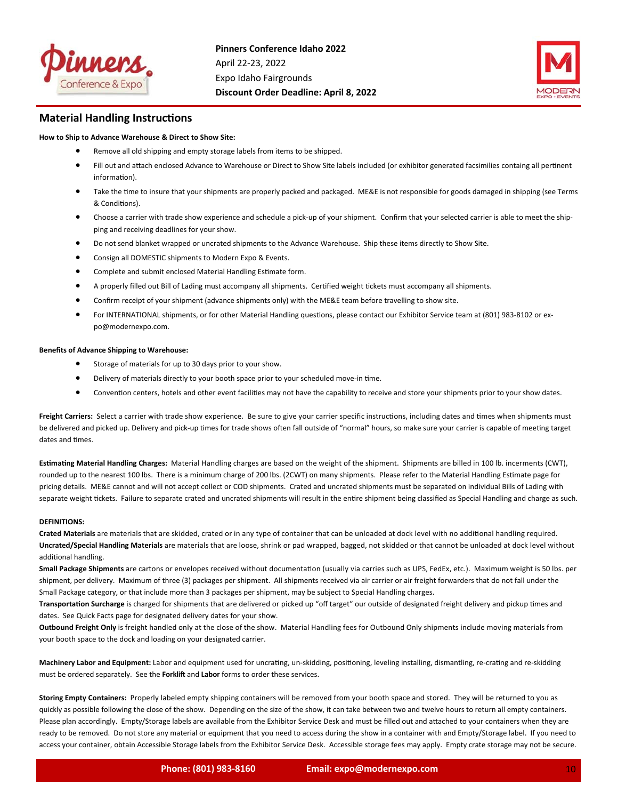



## **Material Handling Instructions**

#### **How to Ship to Advance Warehouse & Direct to Show Site:**

- Remove all old shipping and empty storage labels from items to be shipped.
- Fill out and attach enclosed Advance to Warehouse or Direct to Show Site labels included (or exhibitor generated facsimilies containg all pertinent information).
- Take the time to insure that your shipments are properly packed and packaged. ME&E is not responsible for goods damaged in shipping (see Terms & CondiƟons).
- Choose a carrier with trade show experience and schedule a pick‐up of your shipment. Confirm that your selected carrier is able to meet the ship‐ ping and receiving deadlines for your show.
- Do not send blanket wrapped or uncrated shipments to the Advance Warehouse. Ship these items directly to Show Site.
- **•** Consign all DOMESTIC shipments to Modern Expo & Events.
- Complete and submit enclosed Material Handling Estimate form.
- A properly filled out Bill of Lading must accompany all shipments. Certified weight tickets must accompany all shipments.
- Confirm receipt of your shipment (advance shipments only) with the ME&E team before travelling to show site.
- For INTERNATIONAL shipments, or for other Material Handling questions, please contact our Exhibitor Service team at (801) 983-8102 or expo@modernexpo.com.

#### **Benefits of Advance Shipping to Warehouse:**

- Storage of materials for up to 30 days prior to your show.
- Delivery of materials directly to your booth space prior to your scheduled move-in time.
- Convention centers, hotels and other event facilities may not have the capability to receive and store your shipments prior to your show dates.

Freight Carriers: Select a carrier with trade show experience. Be sure to give your carrier specific instructions, including dates and times when shipments must be delivered and picked up. Delivery and pick-up times for trade shows often fall outside of "normal" hours, so make sure your carrier is capable of meeting target dates and times.

Estimating Material Handling Charges: Material Handling charges are based on the weight of the shipment. Shipments are billed in 100 lb. incerments (CWT), rounded up to the nearest 100 lbs. There is a minimum charge of 200 lbs. (2CWT) on many shipments. Please refer to the Material Handling Estimate page for pricing details. ME&E cannot and will not accept collect or COD shipments. Crated and uncrated shipments must be separated on individual Bills of Lading with separate weight tickets. Failure to separate crated and uncrated shipments will result in the entire shipment being classified as Special Handling and charge as such.

#### **DEFINITIONS:**

Crated Materials are materials that are skidded, crated or in any type of container that can be unloaded at dock level with no additional handling required. **Uncrated/Special Handling Materials** are materials that are loose, shrink or pad wrapped, bagged, not skidded or that cannot be unloaded at dock level without additional handling.

Small Package Shipments are cartons or envelopes received without documentation (usually via carries such as UPS, FedEx, etc.). Maximum weight is 50 lbs. per shipment, per delivery. Maximum of three (3) packages per shipment. All shipments received via air carrier or air freight forwarders that do not fall under the Small Package category, or that include more than 3 packages per shipment, may be subject to Special Handling charges.

Transportation Surcharge is charged for shipments that are delivered or picked up "off target" our outside of designated freight delivery and pickup times and dates. See Quick Facts page for designated delivery dates for your show.

**Outbound Freight Only** is freight handled only at the close of the show. Material Handling fees for Outbound Only shipments include moving materials from your booth space to the dock and loading on your designated carrier.

Machinery Labor and Equipment: Labor and equipment used for uncrating, un-skidding, positioning, leveling installing, dismantling, re-crating and re-skidding must be ordered separately. See the Forklift and Labor forms to order these services.

**Storing Empty Containers:** Properly labeled empty shipping containers will be removed from your booth space and stored. They will be returned to you as quickly as possible following the close of the show. Depending on the size of the show, it can take between two and twelve hours to return all empty containers. Please plan accordingly. Empty/Storage labels are available from the Exhibitor Service Desk and must be filled out and attached to your containers when they are ready to be removed. Do not store any material or equipment that you need to access during the show in a container with and Empty/Storage label. If you need to access your container, obtain Accessible Storage labels from the Exhibitor Service Desk. Accessible storage fees may apply. Empty crate storage may not be secure.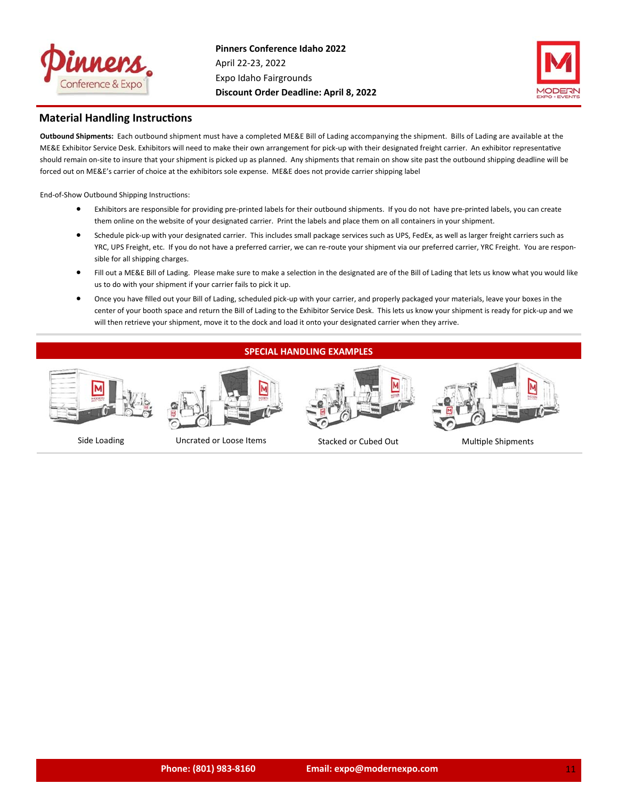



## **Material Handling Instructions**

**Outbound Shipments:**  Each outbound shipment must have a completed ME&E Bill of Lading accompanying the shipment. Bills of Lading are available at the ME&E Exhibitor Service Desk. Exhibitors will need to make their own arrangement for pick-up with their designated freight carrier. An exhibitor representative should remain on-site to insure that your shipment is picked up as planned. Any shipments that remain on show site past the outbound shipping deadline will be forced out on ME&E's carrier of choice at the exhibitors sole expense. ME&E does not provide carrier shipping label

End-of-Show Outbound Shipping Instructions:

- Exhibitors are responsible for providing pre-printed labels for their outbound shipments. If you do not have pre-printed labels, you can create them online on the website of your designated carrier. Print the labels and place them on all containers in your shipment.
- Schedule pick-up with your designated carrier. This includes small package services such as UPS, FedEx, as well as larger freight carriers such as YRC, UPS Freight, etc. If you do not have a preferred carrier, we can re-route your shipment via our preferred carrier, YRC Freight. You are responsible for all shipping charges.
- Fill out a ME&E Bill of Lading. Please make sure to make a selection in the designated are of the Bill of Lading that lets us know what you would like us to do with your shipment if your carrier fails to pick it up.
- Once you have filled out your Bill of Lading, scheduled pick‐up with your carrier, and properly packaged your materials, leave your boxes in the center of your booth space and return the Bill of Lading to the Exhibitor Service Desk. This lets us know your shipment is ready for pick‐up and we will then retrieve your shipment, move it to the dock and load it onto your designated carrier when they arrive.

## **SPECIAL HANDLING EXAMPLES**





Side Loading Uncrated or Loose Items Stacked or Cubed Out MulƟple Shipments



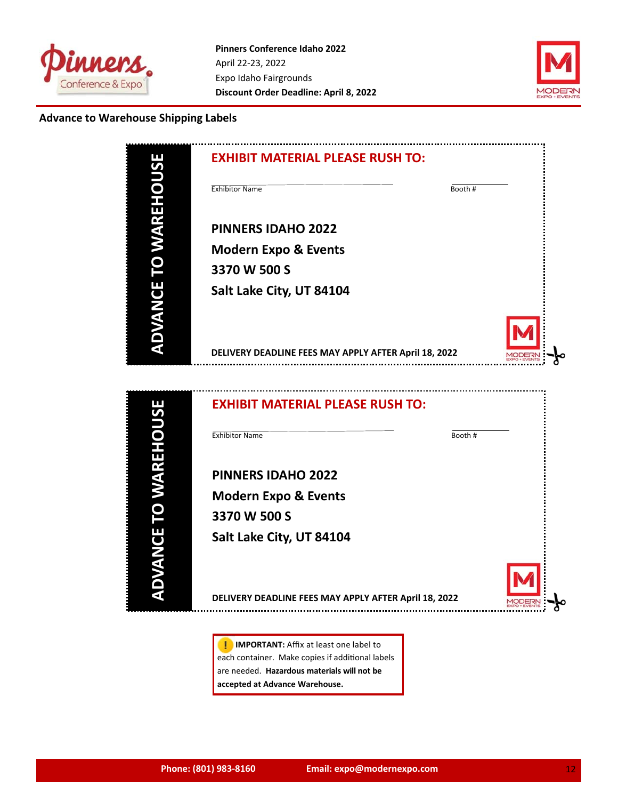



## **Advance to Warehouse Shipping Labels**

| <b>PIIC</b>                 | <b>EXHIBIT MATERIAL PLEASE RUSH TO:</b>               |  |
|-----------------------------|-------------------------------------------------------|--|
|                             | <b>Exhibitor Name</b><br>Booth#                       |  |
| <b>HEISLAM OL</b>           | <b>PINNERS IDAHO 2022</b>                             |  |
|                             | <b>Modern Expo &amp; Events</b>                       |  |
|                             | 3370 W 500 S                                          |  |
|                             | Salt Lake City, UT 84104                              |  |
| <b>ADVANCE</b>              |                                                       |  |
|                             | DELIVERY DEADLINE FEES MAY APPLY AFTER April 18, 2022 |  |
|                             |                                                       |  |
|                             | <b>EXHIBIT MATERIAL PLEASE RUSH TO:</b>               |  |
|                             | <b>Exhibitor Name</b><br>Booth #                      |  |
| <b>ADVANCE TO WAREHOUSI</b> | <b>PINNERS IDAHO 2022</b>                             |  |
|                             | <b>Modern Expo &amp; Events</b>                       |  |
|                             | 3370 W 500 S                                          |  |
|                             | Salt Lake City, UT 84104                              |  |
|                             |                                                       |  |
|                             | DELIVERY DEADLINE FEES MAY APPLY AFTER April 18, 2022 |  |

**I** IMPORTANT: Affix at least one label to each container. Make copies if additional labels are needed. **Hazardous materials will not be accepted at Advance Warehouse.**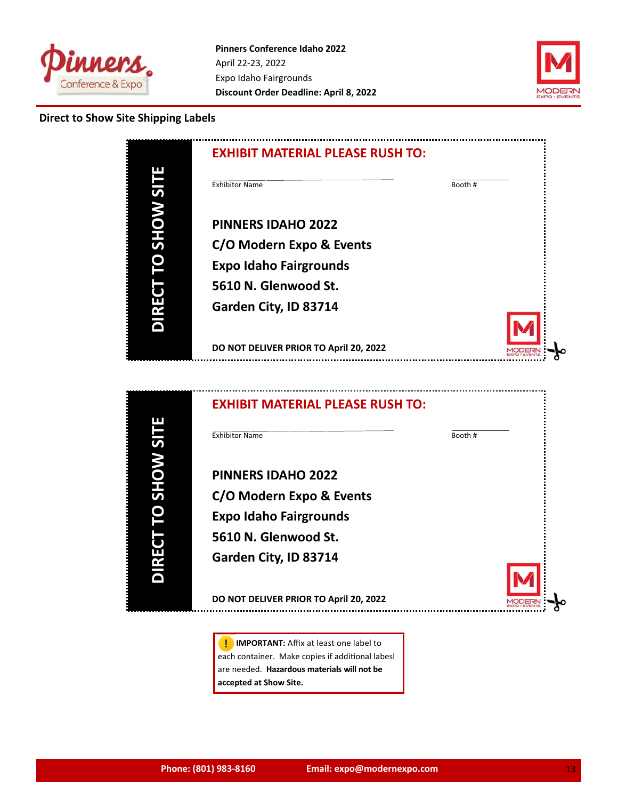



## **Direct to Show Site Shipping Labels**

|             | <b>EXHIBIT MATERIAL PLEASE RUSH TO:</b> |         |
|-------------|-----------------------------------------|---------|
| <b>ILIS</b> | <b>Exhibitor Name</b>                   | Booth # |
| <b>WOHS</b> | <b>PINNERS IDAHO 2022</b>               |         |
|             | C/O Modern Expo & Events                |         |
|             | <b>Expo Idaho Fairgrounds</b>           |         |
|             | 5610 N. Glenwood St.                    |         |
| RF          | Garden City, ID 83714                   |         |
|             |                                         |         |
|             | DO NOT DELIVER PRIOR TO April 20, 2022  |         |



**I** IMPORTANT: Affix at least one label to each container. Make copies if additional labesl are needed. **Hazardous materials will not be accepted at Show Site.**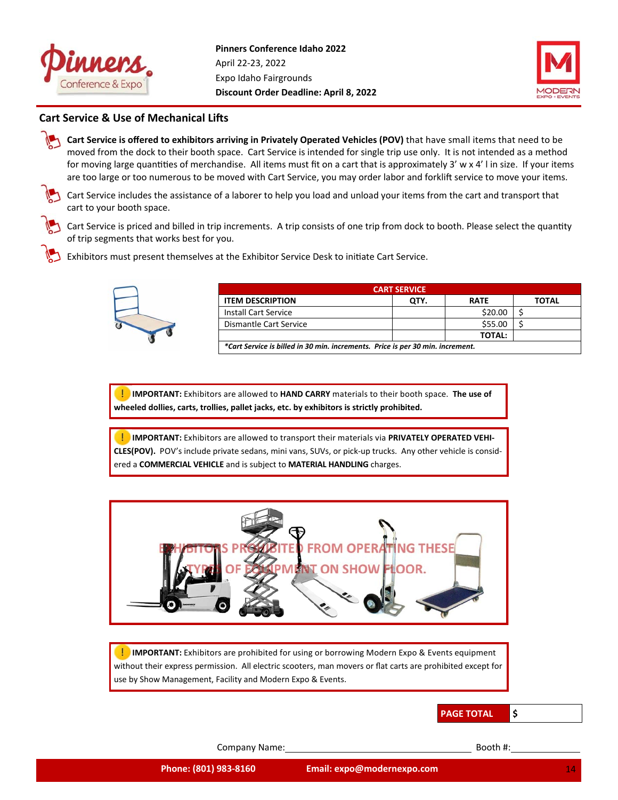



## **Cart Service & Use of Mechanical Lifts**

**Cart Service is offered to exhibitors arriving in Privately Operated Vehicles (POV)** that have small items that need to be moved from the dock to their booth space. Cart Service is intended for single trip use only. It is not intended as a method for moving large quantities of merchandise. All items must fit on a cart that is approximately  $3' \le x 4'$  l in size. If your items are too large or too numerous to be moved with Cart Service, you may order labor and forklift service to move your items.

Cart Service includes the assistance of a laborer to help you load and unload your items from the cart and transport that cart to your booth space.



Cart Service is priced and billed in trip increments. A trip consists of one trip from dock to booth. Please select the quantity of trip segments that works best for you.

Exhibitors must present themselves at the Exhibitor Service Desk to initiate Cart Service.



| <b>CART SERVICE</b>                                                            |      |               |              |  |  |  |  |  |
|--------------------------------------------------------------------------------|------|---------------|--------------|--|--|--|--|--|
| <b>ITEM DESCRIPTION</b>                                                        | OTY. | <b>RATE</b>   | <b>TOTAL</b> |  |  |  |  |  |
| <b>Install Cart Service</b>                                                    |      | \$20.00       |              |  |  |  |  |  |
| Dismantle Cart Service                                                         |      | \$55.00       |              |  |  |  |  |  |
|                                                                                |      | <b>TOTAL:</b> |              |  |  |  |  |  |
| *Cart Service is billed in 30 min. increments. Price is per 30 min. increment. |      |               |              |  |  |  |  |  |

**IMPORTANT:** Exhibitors are allowed to HAND CARRY materials to their booth space. The use of **wheeled dollies, carts, trollies, pallet jacks, etc. by exhibitors is strictly prohibited.**

 **IMPORTANT:** Exhibitors are allowed to transport their materials via **PRIVATELY OPERATED VEHI‐ CLES(POV).** POV's include private sedans, mini vans, SUVs, or pick‐up trucks. Any other vehicle is consid‐ ered a **COMMERCIAL VEHICLE** and is subject to **MATERIAL HANDLING** charges.



**IMPORTANT:** Exhibitors are prohibited for using or borrowing Modern Expo & Events equipment without their express permission. All electric scooters, man movers or flat carts are prohibited except for use by Show Management, Facility and Modern Expo & Events.

## **PAGE TOTAL \$**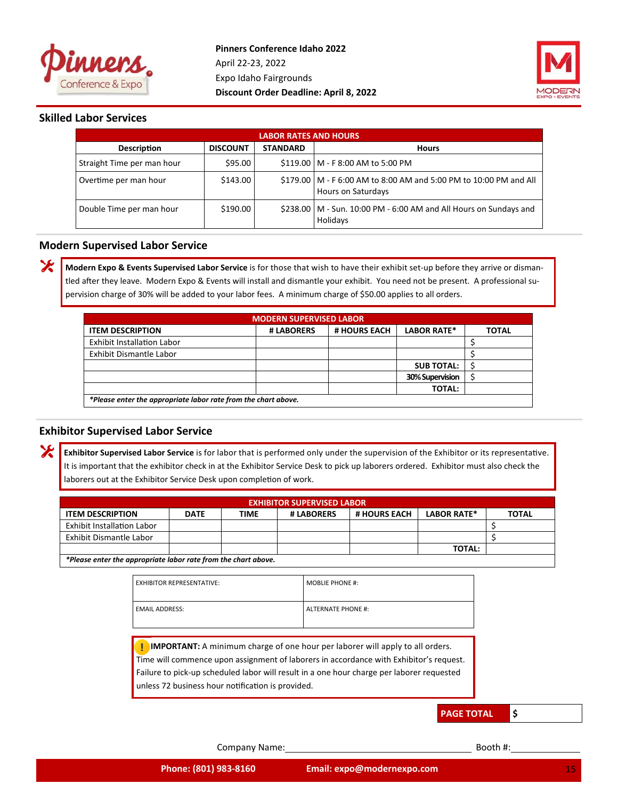



## **Skilled Labor Services**

X

X

| <b>LABOR RATES AND HOURS</b> |                 |                 |                                                                                           |  |  |  |  |  |
|------------------------------|-----------------|-----------------|-------------------------------------------------------------------------------------------|--|--|--|--|--|
| <b>Description</b>           | <b>DISCOUNT</b> | <b>STANDARD</b> | <b>Hours</b>                                                                              |  |  |  |  |  |
| Straight Time per man hour   | \$95.00         |                 | \$119.00   M - F 8:00 AM to 5:00 PM                                                       |  |  |  |  |  |
| Overtime per man hour        | \$143.00        |                 | \$179.00   M - F 6:00 AM to 8:00 AM and 5:00 PM to 10:00 PM and All<br>Hours on Saturdays |  |  |  |  |  |
| Double Time per man hour     | \$190.00        |                 | \$238.00   M - Sun. 10:00 PM - 6:00 AM and All Hours on Sundays and<br>Holidays           |  |  |  |  |  |

## **Modern Supervised Labor Service**

**Modern Expo & Events Supervised Labor Service** is for those that wish to have their exhibit set‐up before they arrive or disman‐ tled after they leave. Modern Expo & Events will install and dismantle your exhibit. You need not be present. A professional supervision charge of 30% will be added to your labor fees. A minimum charge of \$50.00 applies to all orders.

| <b>MODERN SUPERVISED LABOR</b>                                                              |  |  |                   |                                                                |  |  |  |  |  |  |  |
|---------------------------------------------------------------------------------------------|--|--|-------------------|----------------------------------------------------------------|--|--|--|--|--|--|--|
| <b>LABOR RATE*</b><br># HOURS EACH<br><b>ITEM DESCRIPTION</b><br># LABORERS<br><b>TOTAL</b> |  |  |                   |                                                                |  |  |  |  |  |  |  |
| <b>Exhibit Installation Labor</b>                                                           |  |  |                   |                                                                |  |  |  |  |  |  |  |
| Exhibit Dismantle Labor                                                                     |  |  |                   |                                                                |  |  |  |  |  |  |  |
|                                                                                             |  |  | <b>SUB TOTAL:</b> |                                                                |  |  |  |  |  |  |  |
|                                                                                             |  |  | 30% Supervision   |                                                                |  |  |  |  |  |  |  |
| <b>TOTAL:</b>                                                                               |  |  |                   |                                                                |  |  |  |  |  |  |  |
|                                                                                             |  |  |                   | *Please enter the appropriate labor rate from the chart above. |  |  |  |  |  |  |  |

## **Exhibitor Supervised Labor Service**

Exhibitor Supervised Labor Service is for labor that is performed only under the supervision of the Exhibitor or its representative. It is important that the exhibitor check in at the Exhibitor Service Desk to pick up laborers ordered. Exhibitor must also check the laborers out at the Exhibitor Service Desk upon completion of work.

| <b>EXHIBITOR SUPERVISED LABOR</b>                                                                                  |  |  |  |  |  |  |  |  |
|--------------------------------------------------------------------------------------------------------------------|--|--|--|--|--|--|--|--|
| <b>LABOR RATE*</b><br><b># HOURS EACH</b><br><b>ITEM DESCRIPTION</b><br>TOTAL<br>TIME<br># LABORERS<br><b>DATE</b> |  |  |  |  |  |  |  |  |
| <b>Exhibit Installation Labor</b>                                                                                  |  |  |  |  |  |  |  |  |
| Exhibit Dismantle Labor                                                                                            |  |  |  |  |  |  |  |  |
| <b>TOTAL:</b>                                                                                                      |  |  |  |  |  |  |  |  |
| *Please enter the appropriate labor rate from the chart above.                                                     |  |  |  |  |  |  |  |  |

| <b>EXHIBITOR REPRESENTATIVE:</b> | <b>MOBLIE PHONE #:</b>    |
|----------------------------------|---------------------------|
| <b>EMAIL ADDRESS:</b>            | <b>ALTERNATE PHONE #:</b> |

**I** IMPORTANT: A minimum charge of one hour per laborer will apply to all orders. Time will commence upon assignment of laborers in accordance with Exhibitor's request. Failure to pick‐up scheduled labor will result in a one hour charge per laborer requested unless 72 business hour notification is provided.

**PAGE TOTAL \$**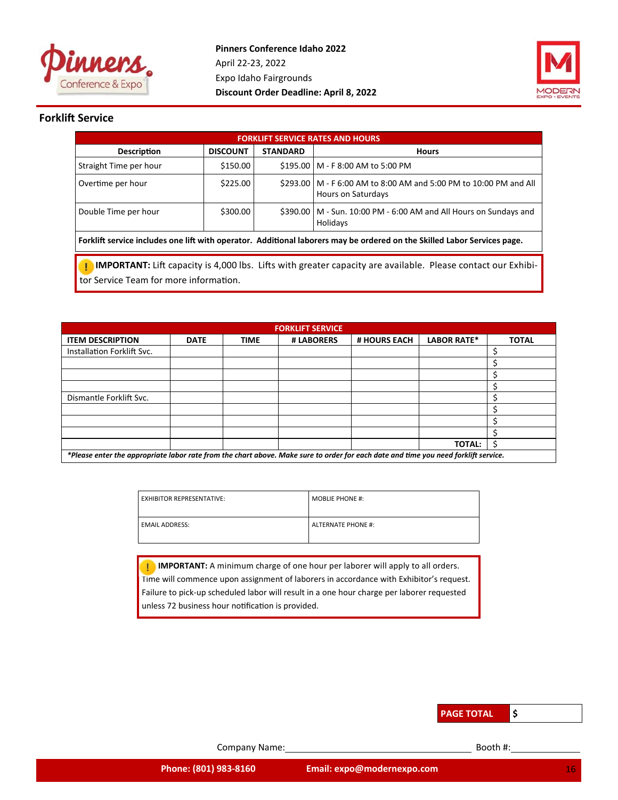



## **Forklift Service**

| <b>FORKLIFT SERVICE RATES AND HOURS</b>                                                                                  |              |  |                                                                                           |  |  |  |  |  |
|--------------------------------------------------------------------------------------------------------------------------|--------------|--|-------------------------------------------------------------------------------------------|--|--|--|--|--|
| <b>Description</b>                                                                                                       | <b>Hours</b> |  |                                                                                           |  |  |  |  |  |
| Straight Time per hour                                                                                                   | \$150.00     |  | \$195.00   M - F 8:00 AM to 5:00 PM                                                       |  |  |  |  |  |
| Overtime per hour                                                                                                        | \$225.00     |  | \$293.00   M - F 6:00 AM to 8:00 AM and 5:00 PM to 10:00 PM and All<br>Hours on Saturdays |  |  |  |  |  |
| \$300.00<br>\$390.00   M - Sun. 10:00 PM - 6:00 AM and All Hours on Sundays and<br>Double Time per hour<br>Holidays      |              |  |                                                                                           |  |  |  |  |  |
| Forklift service includes one lift with operator. Additional laborers may be ordered on the Skilled Labor Services page. |              |  |                                                                                           |  |  |  |  |  |

IMPORTANT: Lift capacity is 4,000 lbs. Lifts with greater capacity are available. Please contact our Exhibitor Service Team for more information.

| <b>FORKLIFT SERVICE</b>                                                                                                             |             |             |            |              |                    |              |  |  |
|-------------------------------------------------------------------------------------------------------------------------------------|-------------|-------------|------------|--------------|--------------------|--------------|--|--|
| <b>ITEM DESCRIPTION</b>                                                                                                             | <b>DATE</b> | <b>TIME</b> | # LABORERS | # HOURS EACH | <b>LABOR RATE*</b> | <b>TOTAL</b> |  |  |
| Installation Forklift Svc.                                                                                                          |             |             |            |              |                    |              |  |  |
|                                                                                                                                     |             |             |            |              |                    |              |  |  |
|                                                                                                                                     |             |             |            |              |                    |              |  |  |
|                                                                                                                                     |             |             |            |              |                    |              |  |  |
| Dismantle Forklift Svc.                                                                                                             |             |             |            |              |                    |              |  |  |
|                                                                                                                                     |             |             |            |              |                    |              |  |  |
|                                                                                                                                     |             |             |            |              |                    |              |  |  |
|                                                                                                                                     |             |             |            |              |                    |              |  |  |
|                                                                                                                                     |             |             |            |              | <b>TOTAL:</b>      |              |  |  |
| *Please enter the appropriate labor rate from the chart above. Make sure to order for each date and time you need forklift service. |             |             |            |              |                    |              |  |  |

| <b>EXHIBITOR REPRESENTATIVE:</b> | <b>MOBLIE PHONE #:</b>    |
|----------------------------------|---------------------------|
| <b>EMAIL ADDRESS:</b>            | <b>ALTERNATE PHONE #:</b> |

**I** IMPORTANT: A minimum charge of one hour per laborer will apply to all orders. Time will commence upon assignment of laborers in accordance with Exhibitor's request. Failure to pick‐up scheduled labor will result in a one hour charge per laborer requested unless 72 business hour notification is provided.

| <b>PAGE TOTAL</b> |  |
|-------------------|--|
|-------------------|--|

Company Name: Booth #: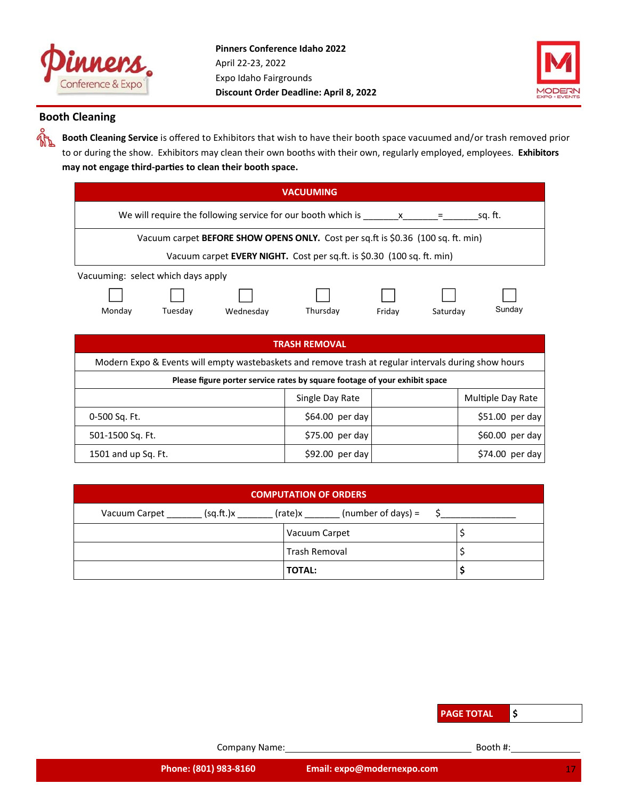



## **Booth Cleaning**

ዺ፝ጙ

**Booth Cleaning Service** is offered to Exhibitors that wish to have their booth space vacuumed and/or trash removed prior to or during the show. Exhibitors may clean their own booths with their own, regularly employed, employees. **Exhibitors**  may not engage third-parties to clean their booth space.

| <b>VACUUMING</b>                                                                                     |                                                                                                                     |           |                  |        |          |                   |
|------------------------------------------------------------------------------------------------------|---------------------------------------------------------------------------------------------------------------------|-----------|------------------|--------|----------|-------------------|
|                                                                                                      | We will require the following service for our booth which is $\underline{\hspace{1cm}}$ x ______ = _____<br>sq. ft. |           |                  |        |          |                   |
|                                                                                                      | Vacuum carpet BEFORE SHOW OPENS ONLY. Cost per sq.ft is \$0.36 (100 sq. ft. min)                                    |           |                  |        |          |                   |
|                                                                                                      | Vacuum carpet <b>EVERY NIGHT.</b> Cost per sq.ft. is \$0.30 (100 sq. ft. min)                                       |           |                  |        |          |                   |
| Vacuuming: select which days apply                                                                   |                                                                                                                     |           |                  |        |          |                   |
|                                                                                                      |                                                                                                                     |           |                  |        |          |                   |
| Monday                                                                                               | Tuesday                                                                                                             | Wednesday | Thursday         | Friday | Saturday | Sunday            |
|                                                                                                      |                                                                                                                     |           |                  |        |          |                   |
| <b>TRASH REMOVAL</b>                                                                                 |                                                                                                                     |           |                  |        |          |                   |
| Modern Expo & Events will empty wastebaskets and remove trash at regular intervals during show hours |                                                                                                                     |           |                  |        |          |                   |
| Please figure porter service rates by square footage of your exhibit space                           |                                                                                                                     |           |                  |        |          |                   |
|                                                                                                      |                                                                                                                     |           | Single Day Rate  |        |          | Multiple Day Rate |
| 0-500 Sq. Ft.                                                                                        |                                                                                                                     |           | $$64.00$ per day |        |          | $$51.00$ per day  |
| 501-1500 Sq. Ft.                                                                                     |                                                                                                                     |           | $$75.00$ per day |        |          | $$60.00$ per day  |
| 1501 and up Sq. Ft.                                                                                  |                                                                                                                     |           | $$92.00$ per day |        |          | $$74.00$ per day  |

| <b>COMPUTATION OF ORDERS</b>                                  |               |  |  |  |  |
|---------------------------------------------------------------|---------------|--|--|--|--|
| (number of days) $=$<br>(rate)x<br>(sq.ft.)x<br>Vacuum Carpet |               |  |  |  |  |
|                                                               | Vacuum Carpet |  |  |  |  |
| Trash Removal                                                 |               |  |  |  |  |
|                                                               | <b>TOTAL:</b> |  |  |  |  |

| <b>PAGE TOTAL</b> |
|-------------------|
|-------------------|

Company Name: Booth #: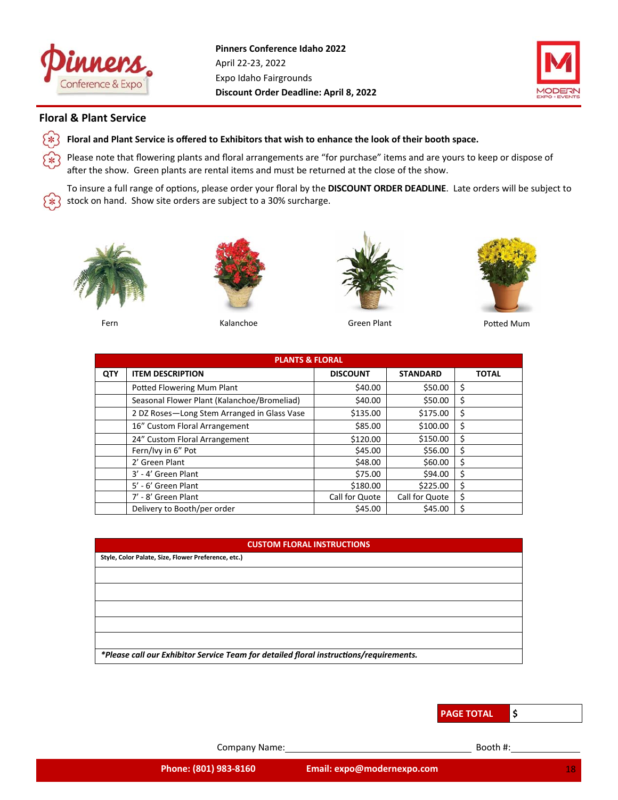



## **Floral & Plant Service**

 $\ast$ 

¥

Уж

**Floral and Plant Service is offered to Exhibitors that wish to enhance the look of their booth space.**

Please note that flowering plants and floral arrangements are "for purchase" items and are yours to keep or dispose of after the show. Green plants are rental items and must be returned at the close of the show.

To insure a full range of options, please order your floral by the DISCOUNT ORDER DEADLINE. Late orders will be subject to stock on hand. Show site orders are subject to a 30% surcharge.









Fern **Example 2018** Kalanchoe Green Plant Green Plant **Potted Mum** 

|     | <b>PLANTS &amp; FLORAL</b>                  |                 |                 |              |  |  |  |  |  |
|-----|---------------------------------------------|-----------------|-----------------|--------------|--|--|--|--|--|
| QTY | <b>ITEM DESCRIPTION</b>                     | <b>DISCOUNT</b> | <b>STANDARD</b> | <b>TOTAL</b> |  |  |  |  |  |
|     | Potted Flowering Mum Plant                  | \$40.00         | \$50.00         | \$           |  |  |  |  |  |
|     | Seasonal Flower Plant (Kalanchoe/Bromeliad) | \$40.00         | \$50.00         | \$           |  |  |  |  |  |
|     | 2 DZ Roses-Long Stem Arranged in Glass Vase | \$135.00        | \$175.00        | \$           |  |  |  |  |  |
|     | 16" Custom Floral Arrangement               | \$85.00         | \$100.00        | \$           |  |  |  |  |  |
|     | 24" Custom Floral Arrangement               | \$120.00        | \$150.00        | \$           |  |  |  |  |  |
|     | Fern/Ivy in 6" Pot                          | \$45.00         | \$56.00         | \$           |  |  |  |  |  |
|     | 2' Green Plant                              | \$48.00         | \$60.00         | \$           |  |  |  |  |  |
|     | 3' - 4' Green Plant                         | \$75.00         | \$94.00         | \$           |  |  |  |  |  |
|     | 5' - 6' Green Plant                         | \$180.00        | \$225.00        | \$           |  |  |  |  |  |
|     | 7' - 8' Green Plant                         | Call for Quote  | Call for Quote  | \$           |  |  |  |  |  |
|     | Delivery to Booth/per order                 | \$45.00         | \$45.00         | \$           |  |  |  |  |  |

## **CUSTOM FLORAL INSTRUCTIONS**

| Style, Color Palate, Size, Flower Preference, etc.)                                    |
|----------------------------------------------------------------------------------------|
|                                                                                        |
|                                                                                        |
|                                                                                        |
|                                                                                        |
|                                                                                        |
| *Please call our Exhibitor Service Team for detailed floral instructions/requirements. |

**PAGE TOTAL \$**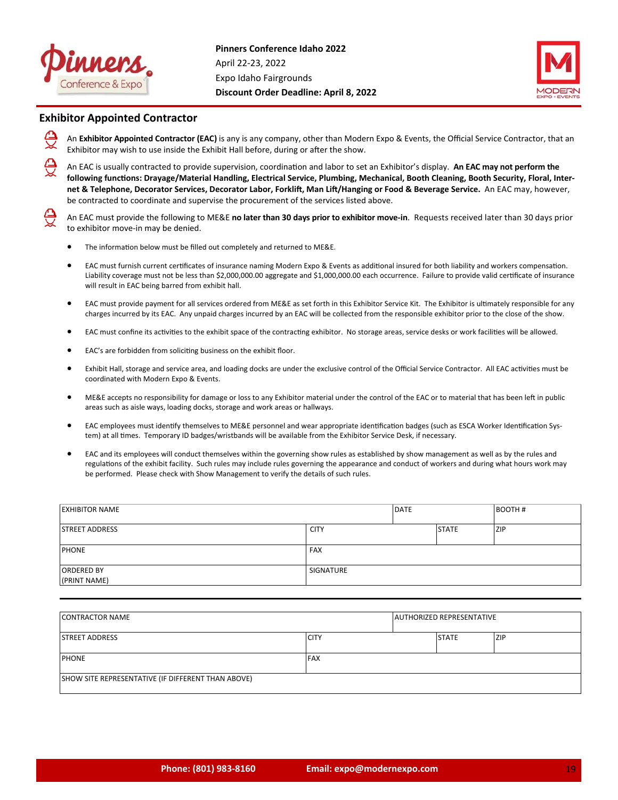



## **Exhibitor Appointed Contractor**

An **Exhibitor Appointed Contractor (EAC)** is any is any company, other than Modern Expo & Events, the Official Service Contractor, that an Exhibitor may wish to use inside the Exhibit Hall before, during or after the show.

An EAC is usually contracted to provide supervision, coordination and labor to set an Exhibitor's display. An EAC may not perform the following functions: Drayage/Material Handling, Electrical Service, Plumbing, Mechanical, Booth Cleaning, Booth Security, Floral, Internet & Telephone, Decorator Services, Decorator Labor, Forklift, Man Lift/Hanging or Food & Beverage Service. An EAC may, however, be contracted to coordinate and supervise the procurement of the services listed above.

An EAC must provide the following to ME&E **no later than 30 days prior to exhibitor move‐in**. Requests received later than 30 days prior to exhibitor move‐in may be denied.

- The information below must be filled out completely and returned to ME&E.
- EAC must furnish current certificates of insurance naming Modern Expo & Events as additional insured for both liability and workers compensation. Liability coverage must not be less than \$2,000,000.00 aggregate and \$1,000,000.00 each occurrence. Failure to provide valid certificate of insurance will result in EAC being barred from exhibit hall.
- EAC must provide payment for all services ordered from ME&E as set forth in this Exhibitor Service Kit. The Exhibitor is ultimately responsible for any charges incurred by its EAC. Any unpaid charges incurred by an EAC will be collected from the responsible exhibitor prior to the close of the show.
- EAC must confine its activities to the exhibit space of the contracting exhibitor. No storage areas, service desks or work facilities will be allowed.
- EAC's are forbidden from soliciting business on the exhibit floor.
- Exhibit Hall, storage and service area, and loading docks are under the exclusive control of the Official Service Contractor. All EAC activities must be coordinated with Modern Expo & Events.
- ME&E accepts no responsibility for damage or loss to any Exhibitor material under the control of the EAC or to material that has been left in public areas such as aisle ways, loading docks, storage and work areas or hallways.
- EAC employees must identify themselves to ME&E personnel and wear appropriate identification badges (such as ESCA Worker Identification System) at all times. Temporary ID badges/wristbands will be available from the Exhibitor Service Desk, if necessary.
- EAC and its employees will conduct themselves within the governing show rules as established by show management as well as by the rules and regulations of the exhibit facility. Such rules may include rules governing the appearance and conduct of workers and during what hours work may be performed. Please check with Show Management to verify the details of such rules.

| <b>EXHIBITOR NAME</b>             |                  | <b>DATE</b> |              | <b>BOOTH#</b> |
|-----------------------------------|------------------|-------------|--------------|---------------|
| <b>STREET ADDRESS</b>             | <b>CITY</b>      |             | <b>STATE</b> | ZIP           |
| <b>PHONE</b>                      | <b>FAX</b>       |             |              |               |
| <b>ORDERED BY</b><br>(PRINT NAME) | <b>SIGNATURE</b> |             |              |               |

| <b>CONTRACTOR NAME</b>                             |             | <b>AUTHORIZED REPRESENTATIVE</b> |            |
|----------------------------------------------------|-------------|----------------------------------|------------|
| <b>ISTREET ADDRESS</b>                             | <b>CITY</b> | <b>STATE</b>                     | <b>ZIP</b> |
| <b>PHONE</b>                                       | <b>FAX</b>  |                                  |            |
| SHOW SITE REPRESENTATIVE (IF DIFFERENT THAN ABOVE) |             |                                  |            |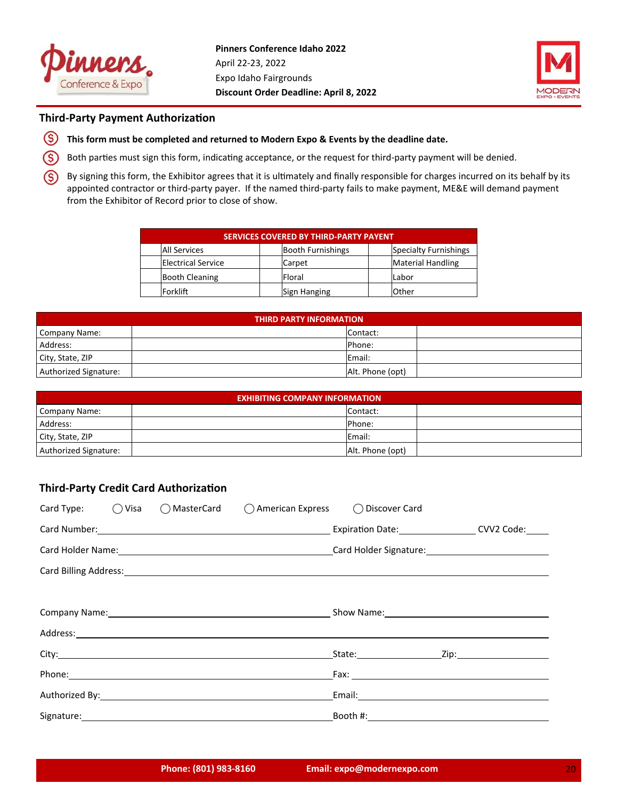



## **Third-Party Payment Authorization**

- $\circleds$ **This form must be completed and returned to Modern Expo & Events by the deadline date.**
- (S) Both parties must sign this form, indicating acceptance, or the request for third-party payment will be denied.
- (S) By signing this form, the Exhibitor agrees that it is ultimately and finally responsible for charges incurred on its behalf by its appointed contractor or third‐party payer. If the named third‐party fails to make payment, ME&E will demand payment from the Exhibitor of Record prior to close of show.

| <b>SERVICES COVERED BY THIRD-PARTY PAYENT</b> |  |                          |  |                              |  |
|-----------------------------------------------|--|--------------------------|--|------------------------------|--|
| All Services                                  |  | <b>Booth Furnishings</b> |  | <b>Specialty Furnishings</b> |  |
| <b>Electrical Service</b>                     |  | Carpet                   |  | <b>Material Handling</b>     |  |
| <b>Booth Cleaning</b>                         |  | Floral                   |  | Labor                        |  |
| Forklift                                      |  | Sign Hanging             |  | Other                        |  |

| <b>THIRD PARTY INFORMATION</b> |  |                  |  |  |  |
|--------------------------------|--|------------------|--|--|--|
| Company Name:                  |  | Contact:         |  |  |  |
| Address:                       |  | Phone:           |  |  |  |
| City, State, ZIP               |  | Email:           |  |  |  |
| Authorized Signature:          |  | Alt. Phone (opt) |  |  |  |

| <b>EXHIBITING COMPANY INFORMATION</b> |  |                  |  |  |  |
|---------------------------------------|--|------------------|--|--|--|
| Company Name:                         |  | Contact:         |  |  |  |
| Address:                              |  | Phone:           |  |  |  |
| City, State, ZIP                      |  | Email:           |  |  |  |
| Authorized Signature:                 |  | Alt. Phone (opt) |  |  |  |

## **Third-Party Credit Card Authorization**

| Card Type: $\bigcirc$ Visa |                                                                                                                                                                                                                                | ◯ MasterCard ◯ American Express ◯ Discover Card                                                                |  |  |  |
|----------------------------|--------------------------------------------------------------------------------------------------------------------------------------------------------------------------------------------------------------------------------|----------------------------------------------------------------------------------------------------------------|--|--|--|
|                            |                                                                                                                                                                                                                                | Expiration Date: CVV2 Code:                                                                                    |  |  |  |
|                            |                                                                                                                                                                                                                                | Card Holder Name: 1990 Card Holder Signature: 1990 Card Holder Signature: 1990 Card Holder Signature:          |  |  |  |
|                            |                                                                                                                                                                                                                                |                                                                                                                |  |  |  |
|                            |                                                                                                                                                                                                                                |                                                                                                                |  |  |  |
|                            |                                                                                                                                                                                                                                | Company Name: Company Name: Company Name: Company Name: Company Name: Company Name: Company Name: Company Name |  |  |  |
|                            |                                                                                                                                                                                                                                |                                                                                                                |  |  |  |
|                            |                                                                                                                                                                                                                                |                                                                                                                |  |  |  |
|                            |                                                                                                                                                                                                                                |                                                                                                                |  |  |  |
|                            | Authorized By: North State State State State State State State State State State State State State State State State State State State State State State State State State State State State State State State State State Sta |                                                                                                                |  |  |  |
|                            |                                                                                                                                                                                                                                |                                                                                                                |  |  |  |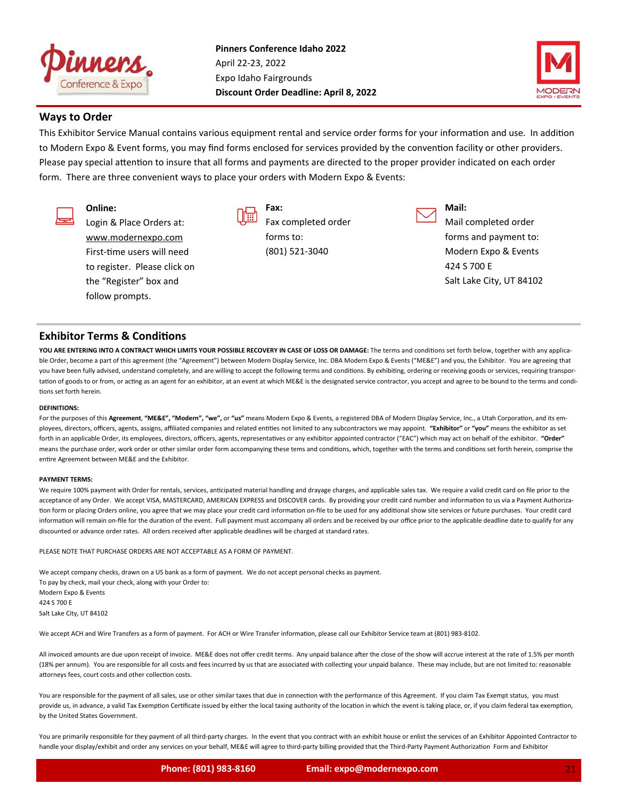



## **Ways to Order**

This Exhibitor Service Manual contains various equipment rental and service order forms for your information and use. In addition to Modern Expo & Event forms, you may find forms enclosed for services provided by the convention facility or other providers. Please pay special attention to insure that all forms and payments are directed to the proper provider indicated on each order form. There are three convenient ways to place your orders with Modern Expo & Events:

## **Online:**

Login & Place Orders at: www.modernexpo.com First-time users will need to register. Please click on the "Register" box and follow prompts.



**Fax:**  Fax completed order forms to: (801) 521‐3040

**Mail:** 

Mail completed order forms and payment to: Modern Expo & Events 424 S 700 E Salt Lake City, UT 84102

## **Exhibitor Terms & Conditions**

YOU ARE ENTERING INTO A CONTRACT WHICH LIMITS YOUR POSSIBLE RECOVERY IN CASE OF LOSS OR DAMAGE: The terms and conditions set forth below, together with any applicable Order, become a part of this agreement (the "Agreement") between Modern Display Service, Inc. DBA Modern Expo & Events ("ME&E") and you, the Exhibitor. You are agreeing that you have been fully advised, understand completely, and are willing to accept the following terms and conditions. By exhibiting, ordering or receiving goods or services, requiring transportation of goods to or from, or acting as an agent for an exhibitor, at an event at which ME&E is the designated service contractor, you accept and agree to be bound to the terms and conditions set forth herein.

## **DEFINITIONS:**

For the purposes of this Agreement, "ME&E", "Modern", "we", or "us" means Modern Expo & Events, a registered DBA of Modern Display Service, Inc., a Utah Corporation, and its employees, directors, officers, agents, assigns, affiliated companies and related entities not limited to any subcontractors we may appoint. "Exhibitor" or "you" means the exhibitor as set forth in an applicable Order, its employees, directors, officers, agents, representatives or any exhibitor appointed contractor ("EAC") which may act on behalf of the exhibitor. "Order" means the purchase order, work order or other similar order form accompanying these tems and conditions, which, together with the terms and conditions set forth herein, comprise the entire Agreement between ME&E and the Exhibitor.

## **PAYMENT TERMS:**

We require 100% payment with Order for rentals, services, anticipated material handling and drayage charges, and applicable sales tax. We require a valid credit card on file prior to the acceptance of any Order. We accept VISA, MASTERCARD, AMERICAN EXPRESS and DISCOVER cards. By providing your credit card number and information to us via a Payment Authorization form or placing Orders online, you agree that we may place your credit card information on-file to be used for any additional show site services or future purchases. Your credit card information will remain on-file for the duration of the event. Full payment must accompany all orders and be received by our office prior to the applicable deadline date to qualify for any discounted or advance order rates. All orders received after applicable deadlines will be charged at standard rates.

PLEASE NOTE THAT PURCHASE ORDERS ARE NOT ACCEPTABLE AS A FORM OF PAYMENT.

We accept company checks, drawn on a US bank as a form of payment. We do not accept personal checks as payment. To pay by check, mail your check, along with your Order to: Modern Expo & Events 424 S 700 E Salt Lake City, UT 84102

We accept ACH and Wire Transfers as a form of payment. For ACH or Wire Transfer information, please call our Exhibitor Service team at (801) 983-8102.

All invoiced amounts are due upon receipt of invoice. ME&E does not offer credit terms. Any unpaid balance after the close of the show will accrue interest at the rate of 1.5% per month (18% per annum). You are responsible for all costs and fees incurred by us that are associated with collecting your unpaid balance. These may include, but are not limited to: reasonable attorneys fees, court costs and other collection costs.

You are responsible for the payment of all sales, use or other similar taxes that due in connection with the performance of this Agreement. If you claim Tax Exempt status, you must provide us, in advance, a valid Tax Exemption Certificate issued by either the local taxing authority of the location in which the event is taking place, or, if you claim federal tax exemption, by the United States Government.

You are primarily responsible for they payment of all third-party charges. In the event that you contract with an exhibit house or enlist the services of an Exhibitor Appointed Contractor to handle your display/exhibit and order any services on your behalf, ME&E will agree to third-party billing provided that the Third-Party Payment Authorization Form and Exhibitor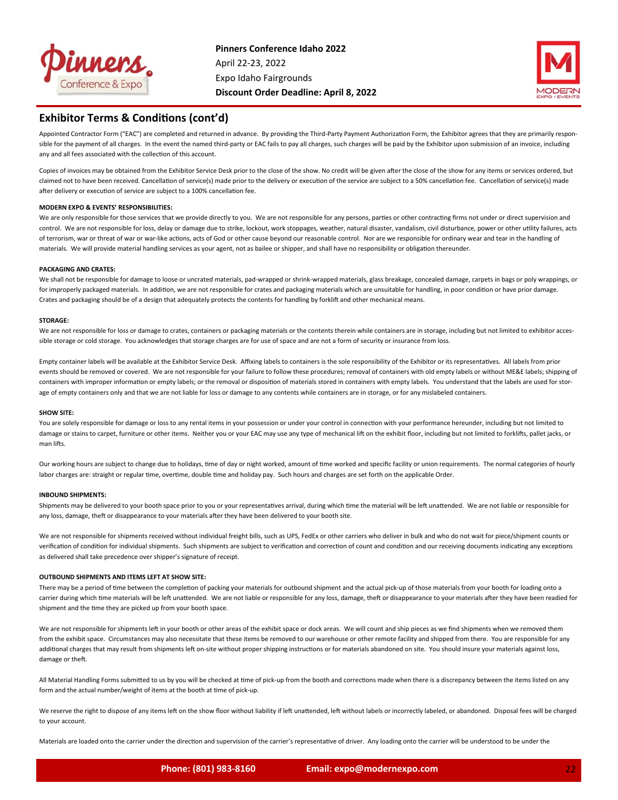



## **Exhibitor Terms & Conditions (cont'd)**

Appointed Contractor Form ("EAC") are completed and returned in advance. By providing the Third-Party Payment Authorization Form, the Exhibitor agrees that they are primarily responsible for the payment of all charges. In the event the named third-party or EAC fails to pay all charges, such charges will be paid by the Exhibitor upon submission of an invoice, including any and all fees associated with the collection of this account.

Copies of invoices may be obtained from the Exhibitor Service Desk prior to the close of the show. No credit will be given after the close of the show for any items or services ordered, but claimed not to have been received. Cancellation of service(s) made prior to the delivery or execution of the service are subject to a 50% cancellation fee. Cancellation of service(s) made after delivery or execution of service are subject to a 100% cancellation fee.

#### **MODERN EXPO & EVENTS' RESPONSIBILITIES:**

We are only responsible for those services that we provide directly to you. We are not responsible for any persons, parties or other contracting firms not under or direct supervision and control. We are not responsible for loss, delay or damage due to strike, lockout, work stoppages, weather, natural disaster, vandalism, civil disturbance, power or other utility failures, acts of terrorism, war or threat of war or war-like actions, acts of God or other cause beyond our reasonable control. Nor are we responsible for ordinary wear and tear in the handling of materials. We will provide material handling services as your agent, not as bailee or shipper, and shall have no responsibility or obligation thereunder.

#### **PACKAGING AND CRATES:**

We shall not be responsible for damage to loose or uncrated materials, pad‐wrapped or shrink‐wrapped materials, glass breakage, concealed damage, carpets in bags or poly wrappings, or for improperly packaged materials. In addition, we are not responsible for crates and packaging materials which are unsuitable for handling, in poor condition or have prior damage. Crates and packaging should be of a design that adequately protects the contents for handling by forklift and other mechanical means.

#### **STORAGE:**

We are not responsible for loss or damage to crates, containers or packaging materials or the contents therein while containers are in storage, including but not limited to exhibitor accessible storage or cold storage. You acknowledges that storage charges are for use of space and are not a form of security or insurance from loss.

Empty container labels will be available at the Exhibitor Service Desk. Affixing labels to containers is the sole responsibility of the Exhibitor or its representatives. All labels from prior events should be removed or covered. We are not responsible for your failure to follow these procedures; removal of containers with old empty labels or without ME&E labels; shipping of containers with improper information or empty labels; or the removal or disposition of materials stored in containers with empty labels. You understand that the labels are used for storage of empty containers only and that we are not liable for loss or damage to any contents while containers are in storage, or for any mislabeled containers.

#### **SHOW SITE:**

You are solely responsible for damage or loss to any rental items in your possession or under your control in connection with your performance hereunder, including but not limited to damage or stains to carpet, furniture or other items. Neither you or your EAC may use any type of mechanical lift on the exhibit floor, including but not limited to forklifts, pallet jacks, or man lifts.

Our working hours are subject to change due to holidays, time of day or night worked, amount of time worked and specific facility or union requirements. The normal categories of hourly labor charges are: straight or regular time, overtime, double time and holiday pay. Such hours and charges are set forth on the applicable Order.

#### **INBOUND SHIPMENTS:**

Shipments may be delivered to your booth space prior to you or your representatives arrival, during which time the material will be left unattended. We are not liable or responsible for any loss, damage, theft or disappearance to your materials after they have been delivered to your booth site.

We are not responsible for shipments received without individual freight bills, such as UPS, FedEx or other carriers who deliver in bulk and who do not wait for piece/shipment counts or verification of condition for individual shipments. Such shipments are subject to verification and correction of count and condition and our receiving documents indicating any exceptions as delivered shall take precedence over shipper's signature of receipt.

#### **OUTBOUND SHIPMENTS AND ITEMS LEFT AT SHOW SITE:**

There may be a period of time between the completion of packing your materials for outbound shipment and the actual pick-up of those materials from your booth for loading onto a carrier during which time materials will be left unattended. We are not liable or responsible for any loss, damage, theft or disappearance to your materials after they have been readied for shipment and the time they are picked up from your booth space.

We are not responsible for shipments left in your booth or other areas of the exhibit space or dock areas. We will count and ship pieces as we find shipments when we removed them from the exhibit space. Circumstances may also necessitate that these items be removed to our warehouse or other remote facility and shipped from there. You are responsible for any additional charges that may result from shipments left on-site without proper shipping instructions or for materials abandoned on site. You should insure your materials against loss, damage or theft.

All Material Handling Forms submitted to us by you will be checked at time of pick‐up from the booth and corrections made when there is a discrepancy between the items listed on any form and the actual number/weight of items at the booth at time of pick-up.

We reserve the right to dispose of any items left on the show floor without liability if left unattended, left without labels or incorrectly labeled, or abandoned. Disposal fees will be charged to your account.

Materials are loaded onto the carrier under the direction and supervision of the carrier's representative of driver. Any loading onto the carrier will be understood to be under the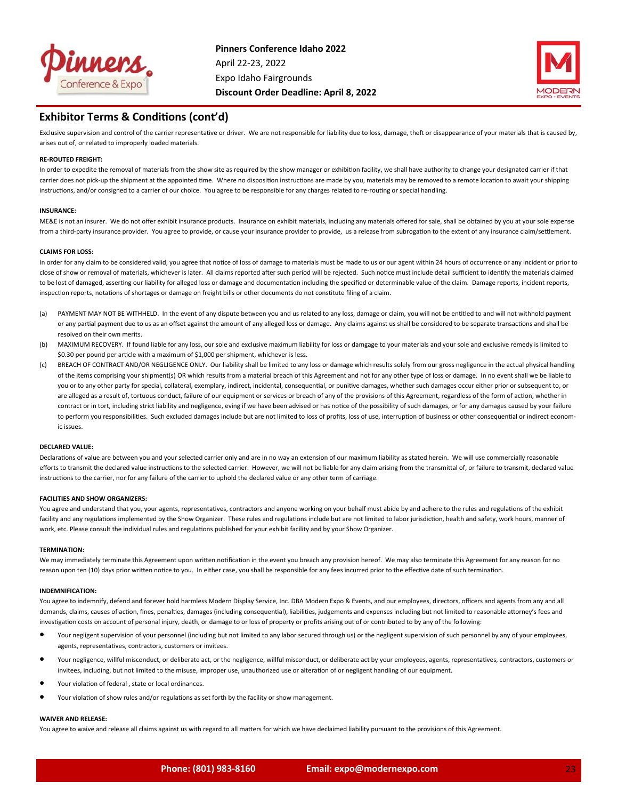



## **Exhibitor Terms & Conditions (cont'd)**

Exclusive supervision and control of the carrier representative or driver. We are not responsible for liability due to loss, damage, theft or disappearance of your materials that is caused by, arises out of, or related to improperly loaded materials.

#### **RE‐ROUTED FREIGHT:**

In order to expedite the removal of materials from the show site as required by the show manager or exhibition facility, we shall have authority to change your designated carrier if that carrier does not pick-up the shipment at the appointed time. Where no disposition instructions are made by you, materials may be removed to a remote location to await your shipping instructions, and/or consigned to a carrier of our choice. You agree to be responsible for any charges related to re-routing or special handling.

#### **INSURANCE:**

ME&E is not an insurer. We do not offer exhibit insurance products. Insurance on exhibit materials, including any materials offered for sale, shall be obtained by you at your sole expense from a third-party insurance provider. You agree to provide, or cause your insurance provider to provide, us a release from subrogation to the extent of any insurance claim/settlement.

#### **CLAIMS FOR LOSS:**

In order for any claim to be considered valid, you agree that notice of loss of damage to materials must be made to us or our agent within 24 hours of occurrence or any incident or prior to close of show or removal of materials, whichever is later. All claims reported after such period will be rejected. Such notice must include detail sufficient to identify the materials claimed to be lost of damaged, asserting our liability for alleged loss or damage and documentation including the specified or determinable value of the claim. Damage reports, incident reports, inspection reports, notations of shortages or damage on freight bills or other documents do not constitute filing of a claim.

- (a) PAYMENT MAY NOT BE WITHHELD. In the event of any dispute between you and us related to any loss, damage or claim, you will not be entitled to and will not withhold payment or any partial payment due to us as an offset against the amount of any alleged loss or damage. Any claims against us shall be considered to be separate transactions and shall be resolved on their own merits.
- (b) MAXIMUM RECOVERY. If found liable for any loss, our sole and exclusive maximum liability for loss or damgage to your materials and your sole and exclusive remedy is limited to \$0.30 per pound per article with a maximum of \$1,000 per shipment, whichever is less.
- (c) BREACH OF CONTRACT AND/OR NEGLIGENCE ONLY. Our liability shall be limited to any loss or damage which results solely from our gross negligence in the actual physical handling of the items comprising your shipment(s) OR which results from a material breach of this Agreement and not for any other type of loss or damage. In no event shall we be liable to you or to any other party for special, collateral, exemplary, indirect, incidental, consequential, or punitive damages, whether such damages occur either prior or subsequent to, or are alleged as a result of, tortuous conduct, failure of our equipment or services or breach of any of the provisions of this Agreement, regardless of the form of action, whether in contract or in tort, including strict liability and negligence, eving if we have been advised or has notice of the possibility of such damages, or for any damages caused by your failure to perform you responsibilities. Such excluded damages include but are not limited to loss of profits, loss of use, interruption of business or other consequential or indirect economic issues.

#### **DECLARED VALUE:**

Declarations of value are between you and your selected carrier only and are in no way an extension of our maximum liability as stated herein. We will use commercially reasonable efforts to transmit the declared value instructions to the selected carrier. However, we will not be liable for any claim arising from the transmittal of, or failure to transmit, declared value instructions to the carrier, nor for any failure of the carrier to uphold the declared value or any other term of carriage.

#### **FACILITIES AND SHOW ORGANIZERS:**

You agree and understand that you, your agents, representatives, contractors and anyone working on your behalf must abide by and adhere to the rules and regulations of the exhibit facility and any regulations implemented by the Show Organizer. These rules and regulations include but are not limited to labor jurisdiction, health and safety, work hours, manner of work, etc. Please consult the individual rules and regulations published for your exhibit facility and by your Show Organizer.

#### **TERMINATION:**

We may immediately terminate this Agreement upon written notification in the event you breach any provision hereof. We may also terminate this Agreement for any reason for no reason upon ten (10) days prior written notice to you. In either case, you shall be responsible for any fees incurred prior to the effective date of such termination.

#### **INDEMNIFICATION:**

You agree to indemnify, defend and forever hold harmless Modern Display Service, Inc. DBA Modern Expo & Events, and our employees, directors, officers and agents from any and all demands, claims, causes of action, fines, penalties, damages (including consequential), liabilities, judgements and expenses including but not limited to reasonable attorney's fees and investigation costs on account of personal injury, death, or damage to or loss of property or profits arising out of or contributed to by any of the following:

- Your negligent supervision of your personnel (including but not limited to any labor secured through us) or the negligent supervision of such personnel by any of your employees, agents, representatives, contractors, customers or invitees.
- Your negligence, willful misconduct, or deliberate act, or the negligence, willful misconduct, or deliberate act by your employees, agents, representatives, contractors, customers or invitees, including, but not limited to the misuse, improper use, unauthorized use or alteration of or negligent handling of our equipment.
- Your violation of federal , state or local ordinances.
- Your violation of show rules and/or regulations as set forth by the facility or show management.

#### **WAIVER AND RELEASE:**

You agree to waive and release all claims against us with regard to all matters for which we have declaimed liability pursuant to the provisions of this Agreement.